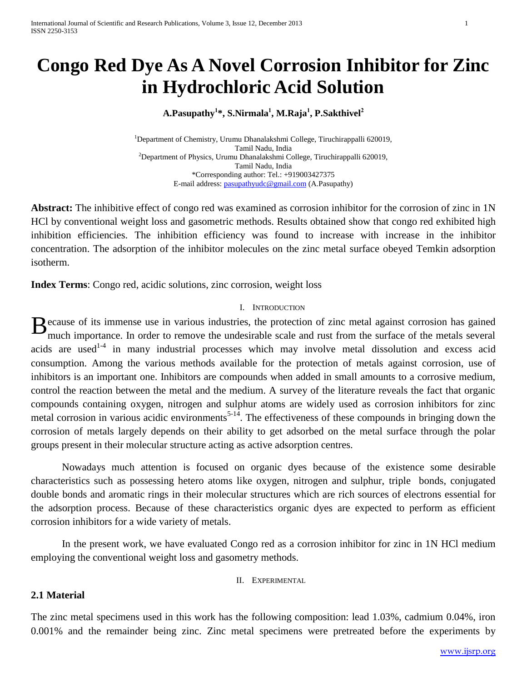# **Congo Red Dye As A Novel Corrosion Inhibitor for Zinc in Hydrochloric Acid Solution**

## **A.Pasupathy<sup>1</sup> \*, S.Nirmala<sup>1</sup> , M.Raja<sup>1</sup> , P.Sakthivel<sup>2</sup>**

<sup>1</sup>Department of Chemistry, Urumu Dhanalakshmi College, Tiruchirappalli 620019, Tamil Nadu, India <sup>2</sup>Department of Physics, Urumu Dhanalakshmi College, Tiruchirappalli 620019, Tamil Nadu, India \*Corresponding author: Tel.: +919003427375 E-mail address: [pasupathyudc@gmail.com](mailto:pasupathyudc@gmail.com) (A.Pasupathy)

**Abstract:** The inhibitive effect of congo red was examined as corrosion inhibitor for the corrosion of zinc in 1N HCl by conventional weight loss and gasometric methods. Results obtained show that congo red exhibited high inhibition efficiencies. The inhibition efficiency was found to increase with increase in the inhibitor concentration. The adsorption of the inhibitor molecules on the zinc metal surface obeyed Temkin adsorption isotherm.

**Index Terms**: Congo red, acidic solutions, zinc corrosion, weight loss

## I. INTRODUCTION

 $B_{\text{much}}$  immense use in various industries, the protection of zinc metal against corrosion has gained much importance. In order to remove the undesirable scale and rust from the surface of the metals several much importance. In order to remove the undesirable scale and rust from the surface of the metals several acids are used<sup>1-4</sup> in many industrial processes which may involve metal dissolution and excess acid consumption. Among the various methods available for the protection of metals against corrosion, use of inhibitors is an important one. Inhibitors are compounds when added in small amounts to a corrosive medium, control the reaction between the metal and the medium. A survey of the literature reveals the fact that organic compounds containing oxygen, nitrogen and sulphur atoms are widely used as corrosion inhibitors for zinc metal corrosion in various acidic environments<sup>5-14</sup>. The effectiveness of these compounds in bringing down the corrosion of metals largely depends on their ability to get adsorbed on the metal surface through the polar groups present in their molecular structure acting as active adsorption centres.

Nowadays much attention is focused on organic dyes because of the existence some desirable characteristics such as possessing hetero atoms like oxygen, nitrogen and sulphur, triple bonds, conjugated double bonds and aromatic rings in their molecular structures which are rich sources of electrons essential for the adsorption process. Because of these characteristics organic dyes are expected to perform as efficient corrosion inhibitors for a wide variety of metals.

In the present work, we have evaluated Congo red as a corrosion inhibitor for zinc in 1N HCl medium employing the conventional weight loss and gasometry methods.

#### II. EXPERIMENTAL

### **2.1 Material**

The zinc metal specimens used in this work has the following composition: lead 1.03%, cadmium 0.04%, iron 0.001% and the remainder being zinc. Zinc metal specimens were pretreated before the experiments by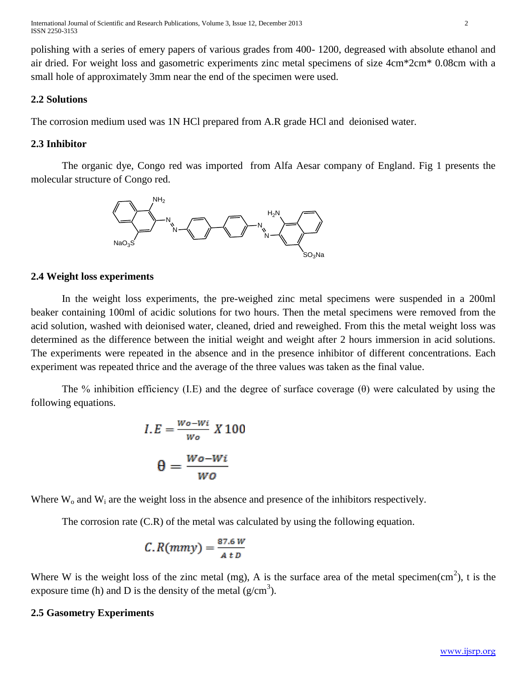International Journal of Scientific and Research Publications, Volume 3, Issue 12, December 2013 2 ISSN 2250-3153

polishing with a series of emery papers of various grades from 400- 1200, degreased with absolute ethanol and air dried. For weight loss and gasometric experiments zinc metal specimens of size 4cm\*2cm\* 0.08cm with a small hole of approximately 3mm near the end of the specimen were used.

## **2.2 Solutions**

The corrosion medium used was 1N HCl prepared from A.R grade HCl and deionised water.

#### **2.3 Inhibitor**

The organic dye, Congo red was imported from Alfa Aesar company of England. Fig 1 presents the molecular structure of Congo red.



#### **2.4 Weight loss experiments**

In the weight loss experiments, the pre-weighed zinc metal specimens were suspended in a 200ml beaker containing 100ml of acidic solutions for two hours. Then the metal specimens were removed from the acid solution, washed with deionised water, cleaned, dried and reweighed. From this the metal weight loss was determined as the difference between the initial weight and weight after 2 hours immersion in acid solutions. The experiments were repeated in the absence and in the presence inhibitor of different concentrations. Each experiment was repeated thrice and the average of the three values was taken as the final value.

The % inhibition efficiency (I.E) and the degree of surface coverage  $(\theta)$  were calculated by using the following equations.

$$
I.E = \frac{Wo - Wi}{Wo} X 100
$$

$$
\theta = \frac{Wo - Wi}{Wo}
$$

Where  $W_0$  and  $W_i$  are the weight loss in the absence and presence of the inhibitors respectively.

The corrosion rate (C.R) of the metal was calculated by using the following equation.

$$
C. R(mmy) = \frac{87.6 W}{A t D}
$$

Where W is the weight loss of the zinc metal (mg), A is the surface area of the metal specimen(cm<sup>2</sup>), t is the exposure time (h) and D is the density of the metal  $(g/cm<sup>3</sup>)$ .

#### **2.5 Gasometry Experiments**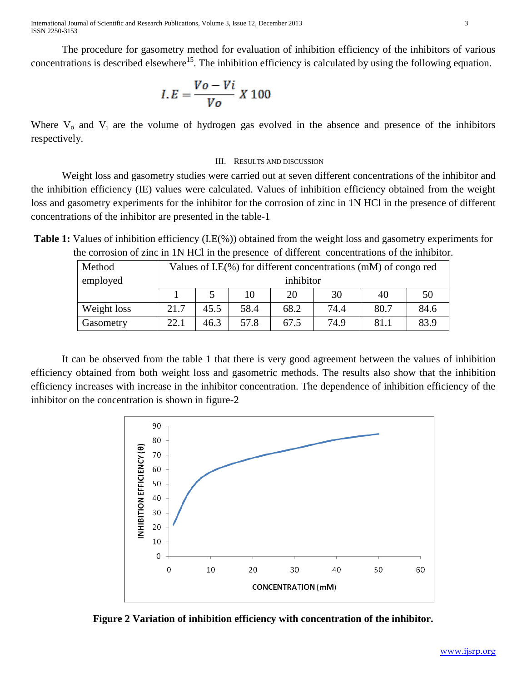International Journal of Scientific and Research Publications, Volume 3, Issue 12, December 2013 3 ISSN 2250-3153

The procedure for gasometry method for evaluation of inhibition efficiency of the inhibitors of various concentrations is described elsewhere<sup>15</sup>. The inhibition efficiency is calculated by using the following equation.

$$
I.E = \frac{V_o - Vi}{V_o} X 100
$$

Where  $V_0$  and  $V_i$  are the volume of hydrogen gas evolved in the absence and presence of the inhibitors respectively.

#### III. RESULTS AND DISCUSSION

Weight loss and gasometry studies were carried out at seven different concentrations of the inhibitor and the inhibition efficiency (IE) values were calculated. Values of inhibition efficiency obtained from the weight loss and gasometry experiments for the inhibitor for the corrosion of zinc in 1N HCl in the presence of different concentrations of the inhibitor are presented in the table-1

**Table 1:** Values of inhibition efficiency (I.E(%)) obtained from the weight loss and gasometry experiments for the corrosion of zinc in 1N HCl in the presence of different concentrations of the inhibitor.

| Method      | Values of I.E $(\%)$ for different concentrations (mM) of congo red |      |      |      |      |      |      |  |  |  |
|-------------|---------------------------------------------------------------------|------|------|------|------|------|------|--|--|--|
| employed    | inhibitor                                                           |      |      |      |      |      |      |  |  |  |
|             |                                                                     |      | 10   | 20   | 30   | 40   | 50   |  |  |  |
| Weight loss | 21.7                                                                | 45.5 | 58.4 | 68.2 | 74.4 | 80.7 | 84.6 |  |  |  |
| Gasometry   | 22.1                                                                | 46.3 | 57.8 | 67.5 | 74.9 | 81.1 | 83.9 |  |  |  |

It can be observed from the table 1 that there is very good agreement between the values of inhibition efficiency obtained from both weight loss and gasometric methods. The results also show that the inhibition efficiency increases with increase in the inhibitor concentration. The dependence of inhibition efficiency of the inhibitor on the concentration is shown in figure-2



**Figure 2 Variation of inhibition efficiency with concentration of the inhibitor.**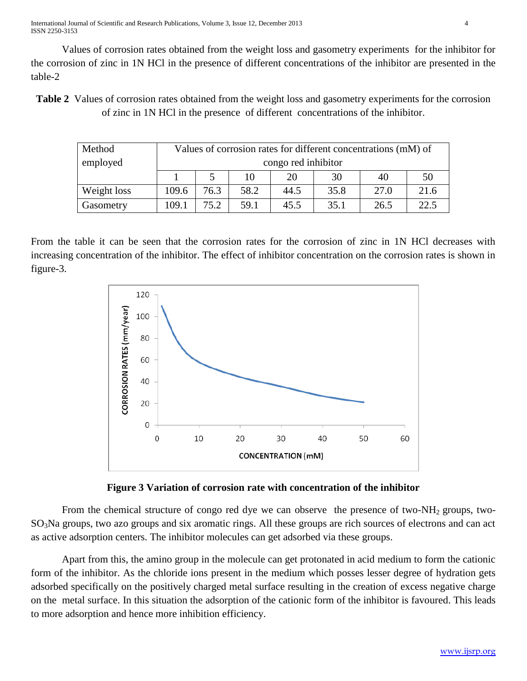Values of corrosion rates obtained from the weight loss and gasometry experiments for the inhibitor for the corrosion of zinc in 1N HCl in the presence of different concentrations of the inhibitor are presented in the table-2

**Table 2** Values of corrosion rates obtained from the weight loss and gasometry experiments for the corrosion of zinc in 1N HCl in the presence of different concentrations of the inhibitor.

| Method      | Values of corrosion rates for different concentrations (mM) of |      |      |      |      |      |      |  |  |  |
|-------------|----------------------------------------------------------------|------|------|------|------|------|------|--|--|--|
| employed    | congo red inhibitor                                            |      |      |      |      |      |      |  |  |  |
|             |                                                                |      | 10   | 20   | 30   | 40   | 50   |  |  |  |
| Weight loss | 109.6                                                          | 76.3 | 58.2 | 44.5 | 35.8 | 27.0 | 21.6 |  |  |  |
| Gasometry   | 109.1                                                          | 75.2 | 59.1 | 45.5 | 35.1 | 26.5 | 22.5 |  |  |  |

From the table it can be seen that the corrosion rates for the corrosion of zinc in 1N HCl decreases with increasing concentration of the inhibitor. The effect of inhibitor concentration on the corrosion rates is shown in figure-3.





From the chemical structure of congo red dye we can observe the presence of two-NH<sub>2</sub> groups, two-SO3Na groups, two azo groups and six aromatic rings. All these groups are rich sources of electrons and can act as active adsorption centers. The inhibitor molecules can get adsorbed via these groups.

Apart from this, the amino group in the molecule can get protonated in acid medium to form the cationic form of the inhibitor. As the chloride ions present in the medium which posses lesser degree of hydration gets adsorbed specifically on the positively charged metal surface resulting in the creation of excess negative charge on the metal surface. In this situation the adsorption of the cationic form of the inhibitor is favoured. This leads to more adsorption and hence more inhibition efficiency.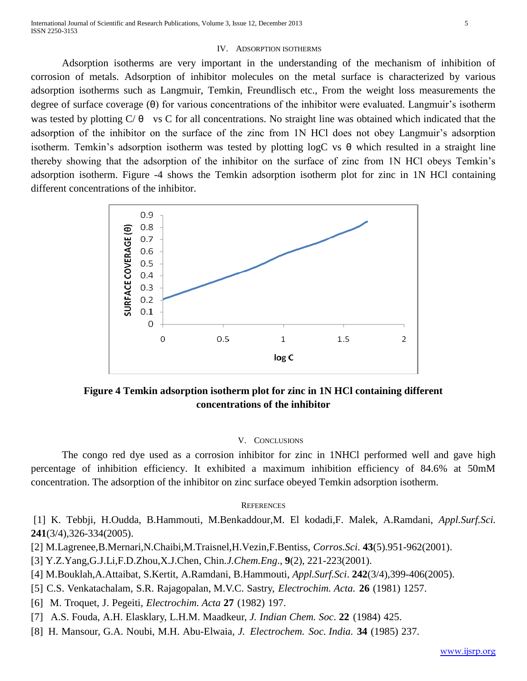#### IV. ADSORPTION ISOTHERMS

Adsorption isotherms are very important in the understanding of the mechanism of inhibition of corrosion of metals. Adsorption of inhibitor molecules on the metal surface is characterized by various adsorption isotherms such as Langmuir, Temkin, Freundlisch etc., From the weight loss measurements the degree of surface coverage (θ) for various concentrations of the inhibitor were evaluated. Langmuir's isotherm was tested by plotting  $C/\theta$  vs C for all concentrations. No straight line was obtained which indicated that the adsorption of the inhibitor on the surface of the zinc from 1N HCl does not obey Langmuir's adsorption isotherm. Temkin's adsorption isotherm was tested by plotting logC vs θ which resulted in a straight line thereby showing that the adsorption of the inhibitor on the surface of zinc from 1N HCl obeys Temkin's adsorption isotherm. Figure -4 shows the Temkin adsorption isotherm plot for zinc in 1N HCl containing different concentrations of the inhibitor.



**Figure 4 Temkin adsorption isotherm plot for zinc in 1N HCl containing different concentrations of the inhibitor**

#### V. CONCLUSIONS

The congo red dye used as a corrosion inhibitor for zinc in 1NHCl performed well and gave high percentage of inhibition efficiency. It exhibited a maximum inhibition efficiency of 84.6% at 50mM concentration. The adsorption of the inhibitor on zinc surface obeyed Temkin adsorption isotherm.

#### **REFERENCES**

[1] K. Tebbji, H.Oudda, B.Hammouti, M.Benkaddour,M. El kodadi,F. Malek, A.Ramdani, *Appl.Surf.Sci.* **241**(3/4),326-334(2005).

- [2] M.Lagrenee,B.Mernari,N.Chaibi,M.Traisnel,H.Vezin,F.Bentiss, *Corros.Sci*. **43**(5).951-962(2001).
- [3] Y.Z.Yang,G.J.Li,F.D.Zhou,X.J.Chen, Chin*.J.Chem.Eng*., **9**(2), 221-223(2001).
- [4] M.Bouklah,A.Attaibat, S.Kertit, A.Ramdani, B.Hammouti, *Appl.Surf.Sci*. **242**(3/4),399-406(2005).
- [5] C.S. Venkatachalam, S.R. Rajagopalan, M.V.C. Sastry, *Electrochim. Acta.* **26** (1981) 1257.
- [6] M. Troquet, J. Pegeiti, *Electrochim. Acta* **27** (1982) 197.
- [7] A.S. Fouda, A.H. Elasklary, L.H.M. Maadkeur, *J. Indian Chem. Soc*. **22** (1984) 425.
- [8] H. Mansour, G.A. Noubi, M.H. Abu-Elwaia, *J. Electrochem. Soc. India.* **34** (1985) 237.